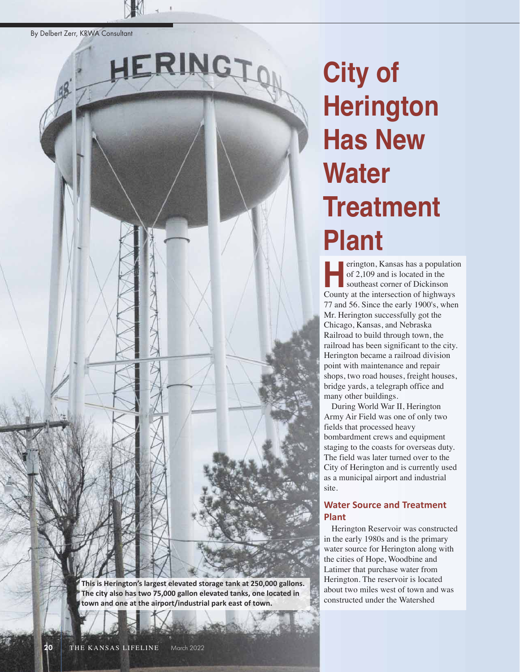By Delbert Zerr, KRWA Consultant

**This is Herington's largest elevated storage tank at 250,000 gallons. The city also has two 75,000 gallon elevated tanks, one located in town and one at the airport/industrial park east of town.** 

HERINGTON

#### 20 THE KANSAS LIFELINE March 2022

# **City of Herington Has New Water Treatment Plant**

erington, Kansas has a population of 2,109 and is located in the southeast corner of Dickinson erington, Kansas has a population<br>of 2,109 and is located in the<br>southeast corner of Dickinson<br>County at the intersection of highways 77 and 56. Since the early 1900's, when Mr. Herington successfully got the Chicago, Kansas, and Nebraska Railroad to build through town, the railroad has been significant to the city. Herington became a railroad division point with maintenance and repair shops, two road houses, freight houses, bridge yards, a telegraph office and many other buildings.

During World War II, Herington Army Air Field was one of only two fields that processed heavy bombardment crews and equipment staging to the coasts for overseas duty. The field was later turned over to the City of Herington and is currently used as a municipal airport and industrial site.

#### **Water Source and Treatment Plant**

Herington Reservoir was constructed in the early 1980s and is the primary water source for Herington along with the cities of Hope, Woodbine and Latimer that purchase water from Herington. The reservoir is located about two miles west of town and was constructed under the Watershed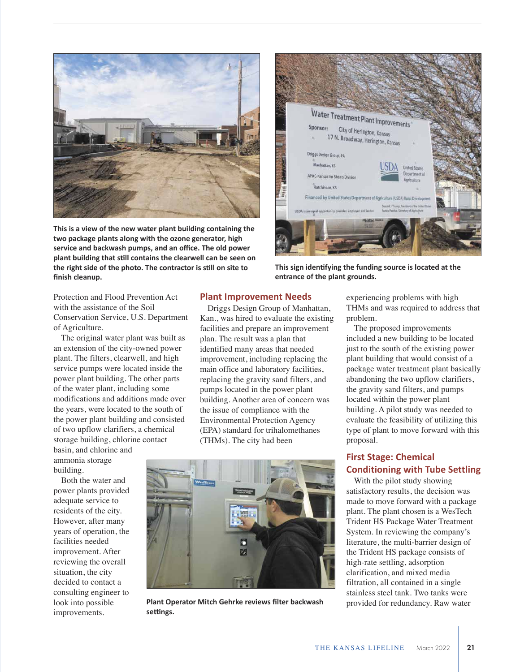

**This is a view of the new water plant building containing the two package plants along with the ozone generator, high service and backwash pumps, and an office. The old power plant building that still contains the clearwell can be seen on the right side of the photo. The contractor is still on site to finish cleanup.**



**This sign identifying the funding source is located at the entrance of the plant grounds.** 

Protection and Flood Prevention Act with the assistance of the Soil Conservation Service, U.S. Department of Agriculture.

The original water plant was built as an extension of the city-owned power plant. The filters, clearwell, and high service pumps were located inside the power plant building. The other parts of the water plant, including some modifications and additions made over the years, were located to the south of the power plant building and consisted of two upflow clarifiers, a chemical storage building, chlorine contact

basin, and chlorine and ammonia storage building.

Both the water and power plants provided adequate service to residents of the city. However, after many years of operation, the facilities needed improvement. After reviewing the overall situation, the city decided to contact a consulting engineer to look into possible improvements.

#### **Plant Improvement Needs**

Driggs Design Group of Manhattan, Kan., was hired to evaluate the existing facilities and prepare an improvement plan. The result was a plan that identified many areas that needed improvement, including replacing the main office and laboratory facilities, replacing the gravity sand filters, and pumps located in the power plant building. Another area of concern was the issue of compliance with the Environmental Protection Agency (EPA) standard for trihalomethanes (THMs). The city had been



**Plant Operator Mitch Gehrke reviews filter backwash settings.** 

experiencing problems with high THMs and was required to address that problem.

The proposed improvements included a new building to be located just to the south of the existing power plant building that would consist of a package water treatment plant basically abandoning the two upflow clarifiers, the gravity sand filters, and pumps located within the power plant building. A pilot study was needed to evaluate the feasibility of utilizing this type of plant to move forward with this proposal.

#### **First Stage: Chemical Conditioning with Tube Settling**

With the pilot study showing satisfactory results, the decision was made to move forward with a package plant. The plant chosen is a WesTech Trident HS Package Water Treatment System. In reviewing the company's literature, the multi-barrier design of the Trident HS package consists of high-rate settling, adsorption clarification, and mixed media filtration, all contained in a single stainless steel tank. Two tanks were provided for redundancy. Raw water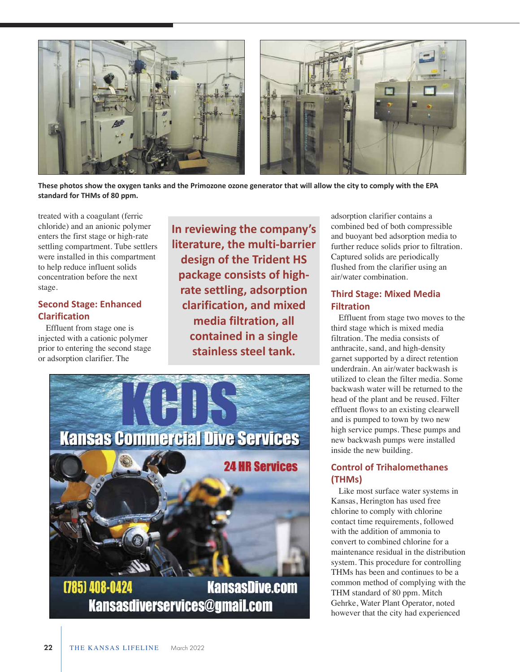

**These photos show the oxygen tanks and the Primozone ozone generator that will allow the city to comply with the EPA standard for THMs of 80 ppm.** 

treated with a coagulant (ferric chloride) and an anionic polymer enters the first stage or high-rate settling compartment. Tube settlers were installed in this compartment to help reduce influent solids concentration before the next stage.

#### **Second Stage: Enhanced Clarification**

Effluent from stage one is injected with a cationic polymer prior to entering the second stage or adsorption clarifier. The

**In reviewing the company's literature, the multibarrier design of the Trident HS package consists of highrate settling, adsorption clarification, and mixed media filtration, all contained in a single stainless steel tank.** 



adsorption clarifier contains a combined bed of both compressible and buoyant bed adsorption media to further reduce solids prior to filtration. Captured solids are periodically flushed from the clarifier using an air/water combination.

### **Third Stage: Mixed Media Filtration**

Effluent from stage two moves to the third stage which is mixed media filtration. The media consists of anthracite, sand, and high-density garnet supported by a direct retention underdrain. An air/water backwash is utilized to clean the filter media. Some backwash water will be returned to the head of the plant and be reused. Filter effluent flows to an existing clearwell and is pumped to town by two new high service pumps. These pumps and new backwash pumps were installed inside the new building.

## **Control of Trihalomethanes (THMs)**

Like most surface water systems in Kansas, Herington has used free chlorine to comply with chlorine contact time requirements, followed with the addition of ammonia to convert to combined chlorine for a maintenance residual in the distribution system. This procedure for controlling THMs has been and continues to be a common method of complying with the THM standard of 80 ppm. Mitch Gehrke, Water Plant Operator, noted however that the city had experienced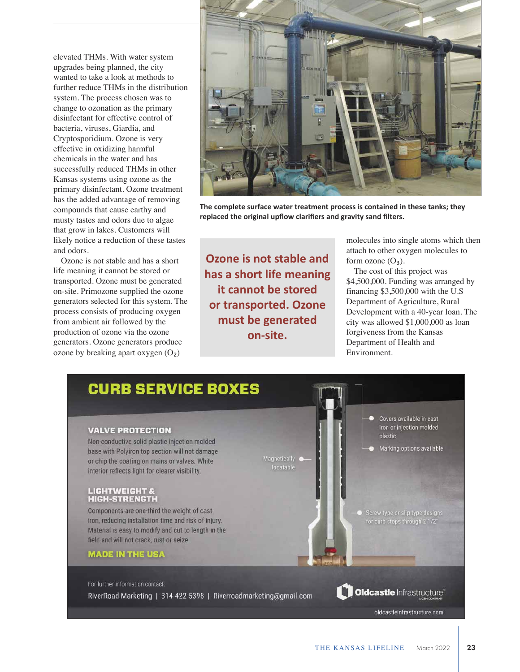elevated THMs. With water system upgrades being planned, the city wanted to take a look at methods to further reduce THMs in the distribution system. The process chosen was to change to ozonation as the primary disinfectant for effective control of bacteria, viruses, Giardia, and Cryptosporidium. Ozone is very effective in oxidizing harmful chemicals in the water and has successfully reduced THMs in other Kansas systems using ozone as the primary disinfectant. Ozone treatment has the added advantage of removing compounds that cause earthy and musty tastes and odors due to algae that grow in lakes. Customers will likely notice a reduction of these tastes and odors.

Ozone is not stable and has a short life meaning it cannot be stored or transported. Ozone must be generated on-site. Primozone supplied the ozone generators selected for this system. The process consists of producing oxygen from ambient air followed by the production of ozone via the ozone generators. Ozone generators produce ozone by breaking apart oxygen  $(O<sub>2</sub>)$ 



**The complete surface water treatment process is contained in these tanks; they replaced the original upflow clarifiers and gravity sand filters.** 

**Ozone is not stable and has a short life meaning it cannot be stored or transported. Ozone must be generated onsite.** 

molecules into single atoms which then attach to other oxygen molecules to form ozone  $(O_3)$ .

The cost of this project was \$4,500,000. Funding was arranged by financing \$3,500,000 with the U.S Department of Agriculture, Rural Development with a 40-year loan. The city was allowed \$1,000,000 as loan forgiveness from the Kansas Department of Health and Environment.